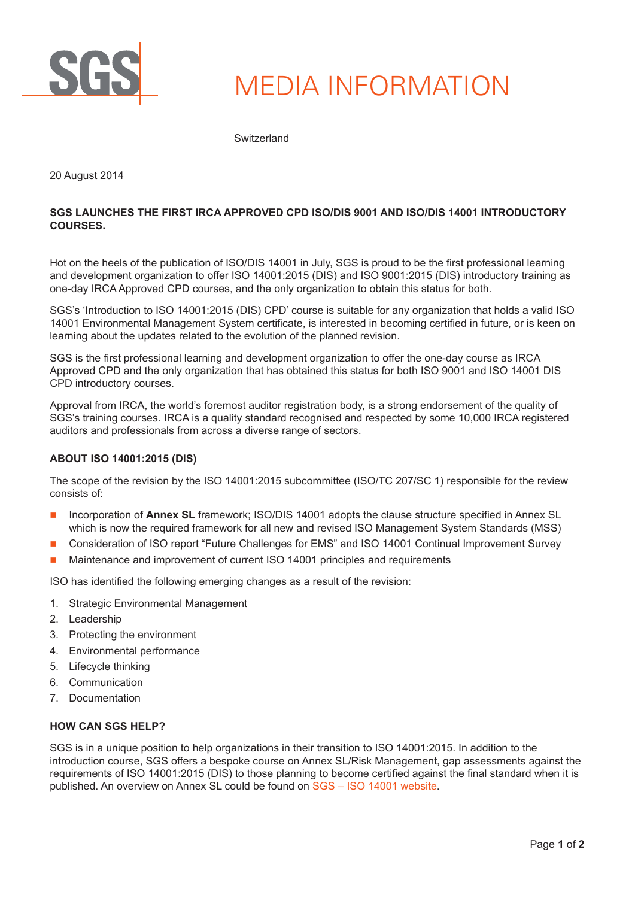

# MEDIA INFORMATION

Switzerland

20 August 2014

## **SGS LAUNCHES THE FIRST IRCA APPROVED CPD ISO/DIS 9001 AND ISO/DIS 14001 INTRODUCTORY COURSES.**

Hot on the heels of the publication of ISO/DIS 14001 in July, SGS is proud to be the first professional learning and development organization to offer ISO 14001:2015 (DIS) and ISO 9001:2015 (DIS) introductory training as one-day IRCA Approved CPD courses, and the only organization to obtain this status for both.

SGS's 'Introduction to ISO 14001:2015 (DIS) CPD' course is suitable for any organization that holds a valid ISO 14001 Environmental Management System certificate, is interested in becoming certified in future, or is keen on learning about the updates related to the evolution of the planned revision.

SGS is the first professional learning and development organization to offer the one-day course as IRCA Approved CPD and the only organization that has obtained this status for both ISO 9001 and ISO 14001 DIS CPD introductory courses.

Approval from IRCA, the world's foremost auditor registration body, is a strong endorsement of the quality of SGS's training courses. IRCA is a quality standard recognised and respected by some 10,000 IRCA registered auditors and professionals from across a diverse range of sectors.

### **ABOUT ISO 14001:2015 (DIS)**

The scope of the revision by the ISO 14001:2015 subcommittee (ISO/TC 207/SC 1) responsible for the review consists of:

- Incorporation of **Annex SL** framework; ISO/DIS 14001 adopts the clause structure specified in Annex SL which is now the required framework for all new and revised ISO Management System Standards (MSS)
- Consideration of ISO report "Future Challenges for EMS" and ISO 14001 Continual Improvement Survey
- Maintenance and improvement of current ISO 14001 principles and requirements

ISO has identified the following emerging changes as a result of the revision:

- 1. Strategic Environmental Management
- 2. Leadership
- 3. Protecting the environment
- 4. Environmental performance
- 5. Lifecycle thinking
- 6. Communication
- 7. Documentation

### **HOW CAN SGS HELP?**

SGS is in a unique position to help organizations in their transition to ISO 14001:2015. In addition to the introduction course, SGS offers a bespoke course on Annex SL/Risk Management, gap assessments against the requirements of ISO 14001:2015 (DIS) to those planning to become certified against the final standard when it is published. An overview on Annex SL could be found on SGS - ISO 14001 website.